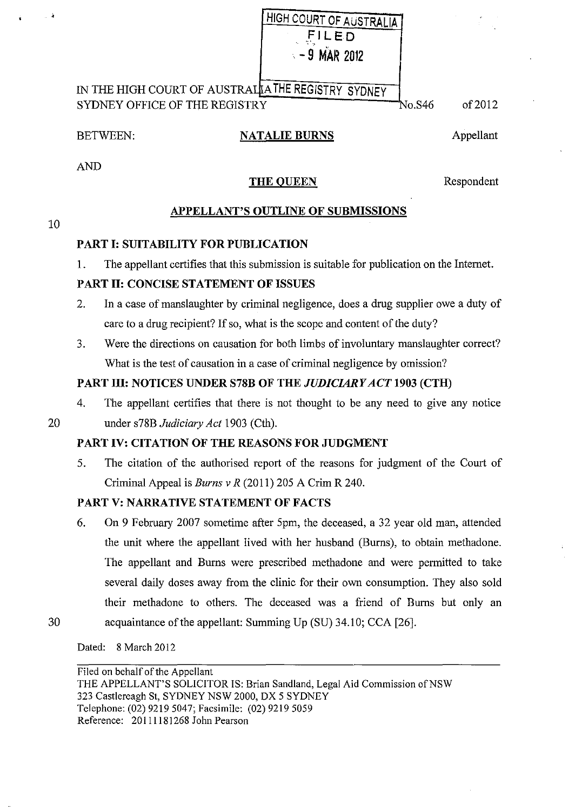| HIGH COURT OF AUSTRALIA |
|-------------------------|
| FILED                   |
| $-9$ MAR 2012           |

IN THE HIGH COURT OF AUSTRAL<mark>IA THE REGISTRY SYDNEY</mark> SYDNEY OFFICE OF THE REGISTRY

No.S46 of 2012

#### BETWEEN: **NATALIE BURNS**

Appellant

AND

#### **THE QUEEN** Respondent

# **APPELLANT'S OUTLINE OF SUBMISSIONS**

# **PART I: SUITABILITY FOR PUBLICATION**

1. The appellant certifies that this submission is suitable for publication on the Internet.

# **PART II: CONCISE STATEMENT OF ISSUES**

- 2. In a case of manslaughter by criminal negligence, does a drug supplier owe a duty of care to a drug recipient? If so, what is the scope and content of the duty?
- 3. Were the directions on causation for both limbs of involuntary manslaughter correct? What is the test of causation in a case of criminal negligence by omission?

# **PART III: NOTICES UNDER S78B OF THE** *JUDICIARY ACT* **1903 (CTH)**

4. The appellant certifies that there is not thought to be any need to give any notice

10

20 under s78B *Judiciary Act* 1903 (Cth).

#### **PART IV: CITATION OF THE REASONS FOR JUDGMENT**

5. The citation of the authorised report of the reasons for judgment of the Court of Criminal Appeal is *Burns v R* (2011) 205 A Crim R 240.

# **PART V: NARRATIVE STATEMENT OF FACTS**

6. On 9 February 2007 sometime after 5pm, the deceased, a 32 year old man, attended the unit where the appellant lived with her husband (Burns), to obtain methadone. The appellant and Bums were prescribed methadone and were permitted to take several daily doses away from the clinic for their own consumption. They also sold their methadone to others. The deceased was a friend of Burns but only an 30 acquaintance of the appellant: Summing Up (SU) 34.10; CCA [26].

Dated: 8 March 2012

Filed on behalf of the Appellant THE APPELLANT'S SOLICITOR IS: Brian Sandland, Legal Aid Commission of NSW 323 Castlereagh St, SYDNEY NSW 2000, OX 5 SYDNEY Telephone: (02) 9219 5047; Facsimile: (02) 9219 5059 Reference: 20111181268 John Pearson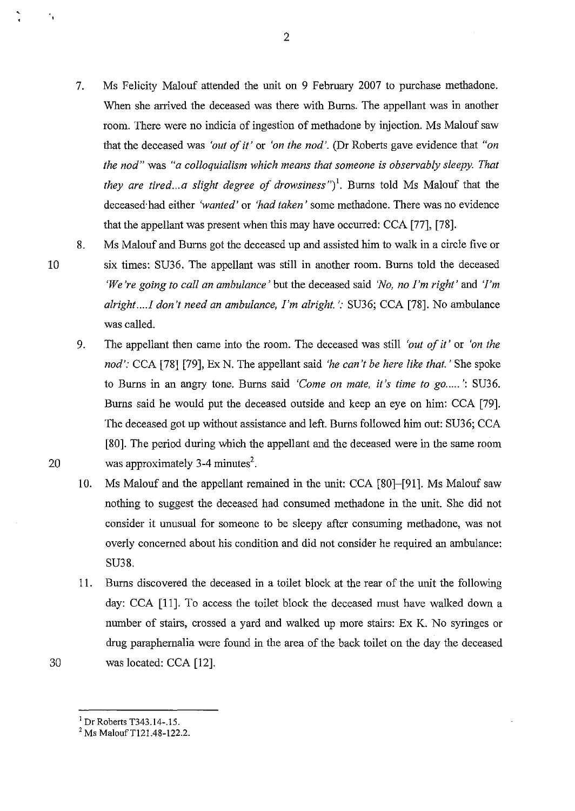- 7. Ms Felicity Malouf attended the unit on 9 February 2007 to purchase methadone. When she arrived the deceased was there with Burns. The appellant was in another room. There were no indicia of ingestion of methadone by injection. Ms Malouf saw that the deceased was *'out of* it' or *'on the nod'.* (Dr Roberts gave evidence that *"on the nod"* was *"a colloquialism which means that someone is observably sleepy. That*  they are tired...a slight degree of drowsiness")<sup>1</sup>. Burns told Ms Malouf that the deceased·had either *'wanted'* or *'had taken'* some methadone. There was no evidence that the appellant was present when this may have occurred: CCA [77], [78].
- 8. Ms Malouf and Burns got the deceased up and assisted him to walk in a circle five or six times: SU36. The appellant was still in another room. Burns told the deceased *'We're going to call an ambulance'* but the deceased said *'No, no I'm right'* and *'I'm alright ...* .! *don't need an ambulance, I'm alright.':* SU36; CCA [78]. No ambulance was called.
- 9. The appellant then came into the room. The deceased was still *'out of it'* or *'on the nod':* CCA [78] [79], Ex N. The appellant said *'he can't be here like that.'* She spoke to Burns in an angry tone. Burns said *'Come on mate, it's time to go.....*': SU36. Burns said he would put the deceased outside and keep an eye on him: CCA [79]. The deceased got up without assistance and left. Burns followed him out: SU36; CCA [80]. The period during which the appellant and the deceased were in the same room 20 was approximately 3-4 minutes<sup>2</sup>.
	- 10. Ms Malouf and the appellant remained in the unit: CCA [80]-[91]. Ms Malouf saw nothing to suggest the deceased had consumed methadone in the unit. She did not consider it unusual for someone to be sleepy after consuming methadone, was not overly concerned about his condition and did not consider he required an ambulance: SU38.
- 11. Burns discovered the deceased in a toilet block at the rear of the unit the following day: CCA [11]. To access the toilet block the deceased must have walked down a number of stairs, crossed a yard and walked up more stairs: Ex K. No syringes or drug paraphernalia were found in the area of the back toilet on the day the deceased 30 was located: CCA [12].

10

 $^{1}$  Dr Roberts T343.14-.15.<br> $^{2}$  Ms Malouf T121.48-122.2.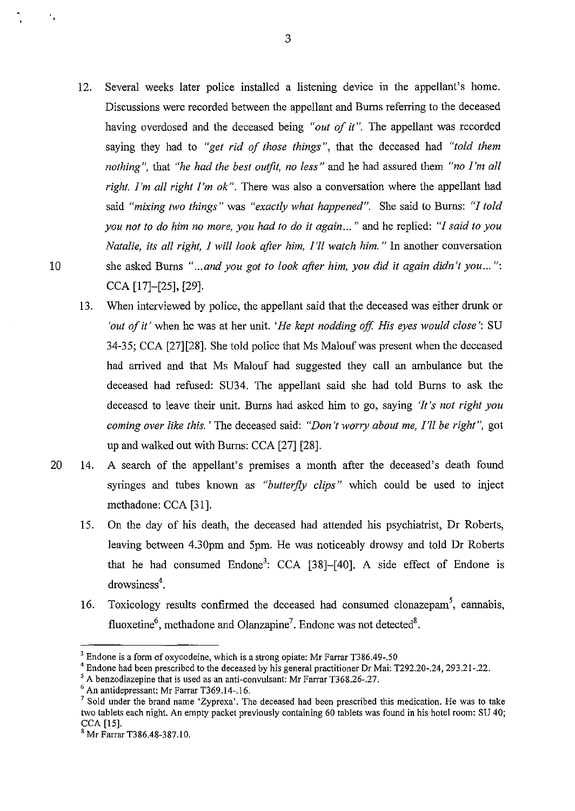- 12. Several weeks later police installed a listening device in the appellant's home. Discussions were recorded between the appellant and Bums referring to the deceased having overdosed and the deceased being *"out of it"*. The appellant was recorded saying they had to *"get rid of those things",* that the deceased had *"told them nothing",* that *"he had the best outfit, no less"* and he had assured them *"no I'm all right. I'm all right I'm ok* ". There was also a conversation where the appellant had said *"mixing two things"* was *"exactly what happened".* She said to Bums: *"I told you not to do him no more, you had to do* it *again ... "* and he replied: *"I said to you Natalie, its all right, I will look after him, I'll watch him.* " In another conversation 10 she asked Burns *" ... and you got to look after him, you did* it *again didn't you ... ":*  CCA [17]-[25], [29].
	- 13. When interviewed by police, the appellant said that the deceased was either drunk or 'out of it' when he was at her unit. 'He kept nodding off. His eyes would close': SU 34-35; CCA [27][28]. She told police that Ms Malouf was present when the deceased had arrived and that Ms Malouf had suggested they call an ambulance but the deceased had refused: SU34. The appellant said she had told Bums to ask the deceased to leave their unit. Bums had asked him to go, saying *'It's not right you coming over like this.* ' The deceased said: *"Don't worry about me, I'll be right",* got up and walked out with Burns: CCA [27] [28].
- 20 14. A search of the appellant's premises a month after the deceased's death found syringes and tubes known as *"butterfly clips"* which could be used to inject methadone: CCA [31].
	- 15. On the day of his death, the deceased had attended his psychiatrist, Dr Roberts, leaving between 4.30pm and 5pm. He was noticeably drowsy and told Dr Roberts that he had consumed  $\text{Endone}^3$ : CCA [38]-[40]. A side effect of Endone is drowsiness<sup>4</sup>.
	- 16. Toxicology results confirmed the deceased had consumed clonazepam<sup>5</sup>, cannabis, fluoxetine<sup>6</sup>, methadone and Olanzapine<sup>7</sup>. Endone was not detected<sup>8</sup>.

 $\frac{1}{2}$ 

<sup>&</sup>lt;sup>3</sup> Endone is a form of oxycodeine, which is a strong opiate: Mr Farrar T386.49-.50

<sup>&</sup>lt;sup>4</sup> Endone had been prescribed to the deceased by his general practitioner Dr Mai: T292.20-.24, 293.21-.22.<br>
<sup>5</sup> A benzodiazepine that is used as an anti-convulsant: Mr Farrar T368.26-.27.<br>
<sup>6</sup> An antidepressant: Mr Farra

two tablets each night. An empty packet previously containing 60 tablets was found in his hotel room: SU 40; CCA [15].

<sup>&</sup>lt;sup>8</sup> Mr Farrar T386.48-387.10.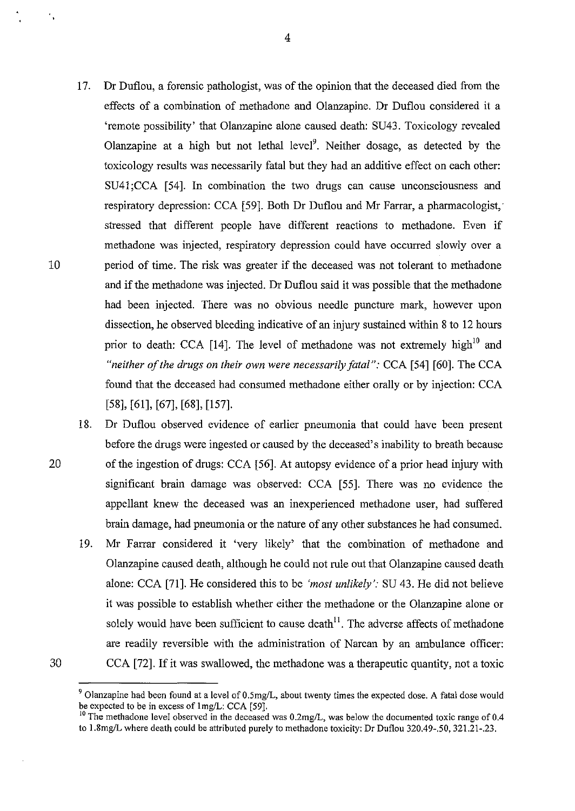- 17. Dr Duflou, a forensic pathologist, was of the opinion that the deceased died from the effects of a combination of methadone and Olanzapine. Dr Duflou considered it a 'remote possibility' that Olanzapine alone caused death: SU43. Toxicology revealed Olanzapine at a high but not lethal level<sup>9</sup>. Neither dosage, as detected by the toxicology results was necessarily fatal but they had an additive effect on each other: SU41;CCA [54]. In combination the two drugs can cause unconsciousness and respiratory depression: CCA [59]. Both Dr Duflou and Mr Farrar, a pharmacologist, stressed that different people have different reactions to methadone. Even if methadone was injected, respiratory depression could have occurred slowly over a 10 period of time. The risk was greater if the deceased was not tolerant to methadone and if the methadone was injected. Dr Duflou said it was possible that the methadone had been injected. There was no obvious needle puncture mark, however upon dissection, he observed bleeding indicative of an injury sustained within 8 to 12 hours prior to death: CCA [14]. The level of methadone was not extremely high<sup>10</sup> and *"neither of the drugs on their own were necessarily fatal":* CCA [54] [60]. The CCA found that the deceased had consumed methadone either orally or by injection: CCA [58], [61], [67], [68], [157].
- 18. Dr Duflou observed evidence of earlier pneumonia that could have been present before the drugs were ingested or caused by the deceased's inability to breath because 20 of the ingestion of drugs: CCA [56]. At autopsy evidence of a prior head injury with significant brain damage was observed: CCA [55]. There was no evidence the appellant knew the deceased was an inexperienced methadone user, had suffered brain damage, had pneumonia or the nature of any other substances he had consumed.
- 19. Mr Farrar considered it 'very likely' that the combination of methadone and Olanzapine caused death, although he could not rule out that Olanzapine caused death alone: CCA [71]. He considered this to be *'most unlikely':* SU 43. He did not believe it was possible to establish whether either the methadone or the Olanzapine alone or solely would have been sufficient to cause death $^{11}$ . The adverse affects of methadone are readily reversible with the administration of Narcan by an ambulance officer: 30 CCA [72]. If it was swallowed, the methadone was a therapeutic quantity, not a toxic

<sup>&</sup>lt;sup>9</sup> Olanzapine had been found at a level of 0.5mg/L, about twenty times the expected dose. A fatal dose would be expected to be in excess of lmg/L: CCA [59].

 $10$  The methadone level observed in the deceased was 0.2mg/L, was below the documented toxic range of 0.4 to 1.8mg/L where death could be attributed purely to methadone toxicity: Dr Duflou 320.49-.50, 321.21-.23.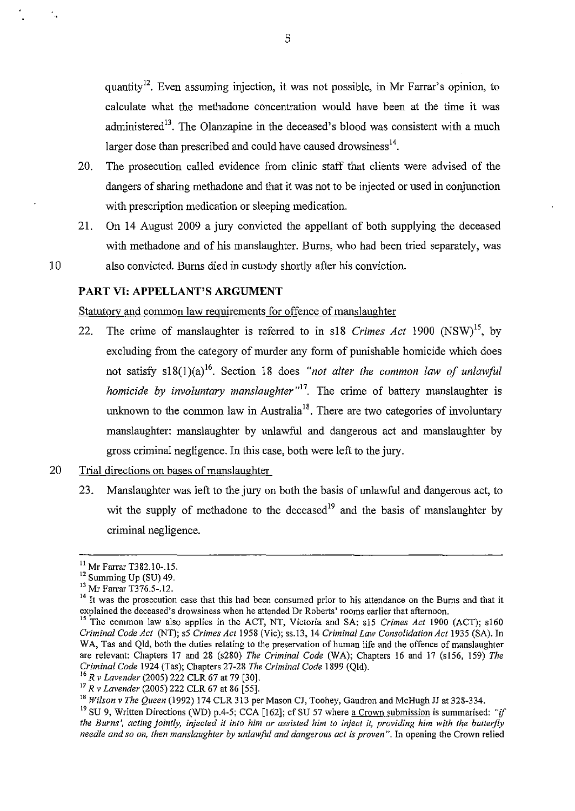quantity<sup>12</sup>. Even assuming injection, it was not possible, in Mr Farrar's opinion, to calculate what the methadone concentration would have been at the time it was administered<sup>13</sup>. The Olanzapine in the deceased's blood was consistent with a much larger dose than prescribed and could have caused drowsiness $14$ .

- 20. The prosecution called evidence from clinic staff that clients were advised of the dangers of sharing methadone and that it was not to be injected or used in conjunction with prescription medication or sleeping medication.
- 21. On 14 August 2009 a jury convicted the appellant of both supplying the deceased with methadone and of his manslaughter. Burns, who had been tried separately, was 10 also convicted. Burns died in custody shortly after his conviction.

#### **PART VI: APPELLANT'S ARGUMENT**

Statutory and common law requirements for offence of manslaughter

- 22. The crime of manslaughter is referred to in sl8 *Crimes Act* 1900 (NSW) 15, by excluding from the category of murder any form of punishable homicide which does not satisfy s18(1)(a)<sup>16</sup>. Section 18 does "not alter the common law of unlawful *homicide by involuntary manslaughter* <sup>17</sup>. The crime of battery manslaughter is unknown to the common law in Australia<sup>18</sup>. There are two categories of involuntary manslaughter: manslaughter by unlawful and dangerous act and manslaughter by gross criminal negligence. In this case, both were left to the jury.
- 20 Trial directions on bases of manslaughter
	- 23. Manslaughter was left to the jury on both the basis of unlawful and dangerous act, to wit the supply of methadone to the deceased<sup>19</sup> and the basis of manslaughter by criminal negligence.

<sup>&</sup>lt;sup>11</sup> Mr Farrar T382.10-.15.<br><sup>12</sup> Summing Up (SU) 49.<br><sup>13</sup> Mr Farrar T376.5-.12.<br><sup>14</sup> It was the prosecution case that this had been consumed prior to his attendance on the Burns and that it explained the deceased's drowsiness when he attended Dr Roberts' rooms earlier that afternoon. 15 The common law also applies in the ACT, NT, Victoria and SA: sl5 *Crimes Act* 1900 (ACT); s160

*Criminal Code Act* (NT); s5 *Crimes Act* 1958 (Vic); ss.l3, 14 *Criminal Law Consolidation Act* 1935 (SA). In WA, Tas and Qld, both the duties relating to the preservation of human life and the offence of manslaughter are relevant: Chapters 17 and 28 (s280) *The Criminal Code* (WA); Chapters 16 and 17 (s156, 159) *The Criminal Code 1924 (Tas); Chapters 27-28 The Criminal Code 1899 (Qld).* <sup>16</sup> *R v Lavender (2005) 222 CLR 67 at 79 [30].* <sup>17</sup> *R v Lavender (2005) 222 CLR 67 at 86 [55].* <sup>18</sup> *Wilson v The Queen (1992) 174 CLR 313 per M* 

<sup>&</sup>lt;sup>19</sup> SU 9, Written Directions (WD) p.4-5; CCA [162]; cf SU 57 where a Crown submission is summarised: *"if the Burns', acting jointly, injected it into him or assisted him to inject it, providing him with the butterfly needle and so on, then manslaughter by unlawful and dangerous act is proven".* In opening the Crown relied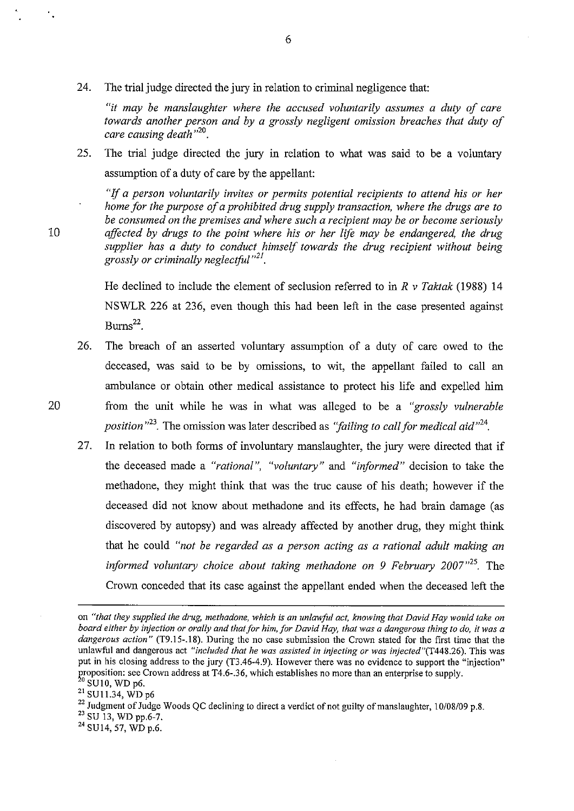24. The trial judge directed the jury in relation to criminal negligence that:

*"it may be manslaughter where the accused voluntarily assumes a duty of care towards another person and by a grossly negligent omission breaches that duty of care causing death* " 20 .

25. The trial judge directed the jury in relation to what was said to be a voluntary assumption of a duty of care by the appellant:

"If *a person voluntarily invites or permits potential recipients to attend his or her home for the purpose of a prohibited drug supply transaction, where the drugs are to be consumed on the premises and where such a recipient may be or become seriously*  10 *affected by drugs to the point where his or her life may be endangered, the drug supplier has a duty to conduct himself towards the drug recipient without being grossly or criminally neglectful "21•* 

> He declined to include the element of seclusion referred to in *R v Taktak* (1988) 14 NSWLR 226 at 236, even though this had been left in the case presented against  $Burns<sup>22</sup>$ .

- 26. The breach of an asserted voluntary assumption of a duty of care owed to the deceased, was said to be by omissions, to wit, the appellant failed to call an ambulance or obtain other medical assistance to protect his life and expelled him 20 from the unit while he was in what was alleged to be a *"grossly vulnerable position*<sup>23</sup>. The omission was later described as *"failing to call for medical aid*<sup>24</sup>.
	- 27. In relation to both forms of involuntary manslaughter, the jury were directed that if the deceased made a *"rational", "voluntary"* and *"informed"* decision to take the methadone, they might think that was the true cause of his death; however if the deceased did not know about methadone and its effects, he had brain damage (as discovered by autopsy) and was already affected by another drug, they might think that he could *"not be regarded as a person acting as a rational adult making an informed voluntary choice about taking methadone on 9 February 2007<sup>35</sup>.* The Crown conceded that its case against the appellant ended when the deceased left the

٠.

on *"that they supplied the drug, methadone, which is an unlawful act, knowing that David Hay would take on board either by injection or orally and that for him. for David Hay, that was a dangerous thing to do. it was a dangerous action"'* (T9.15-.18). During the no case submission the Crown stated for the first time that the unlawful and dangerous act "included that he was assisted in injecting or was injected"(T448.26). This was put in his closing address to the jury (T3.46-4.9). However there was no evidence to support the "injection" for the crown address at T4.6-.36, which establishes no more than an enterprise to supply.<br><sup>20</sup> SU10, WD p6.

<sup>&</sup>lt;sup>21</sup> SU11.34, WD p6

<sup>&</sup>lt;sup>22</sup> Judgment of Judge Woods QC declining to direct a verdict of not guilty of manslaughter, 10/08/09 p.8. <sup>23</sup> SU 13, WD pp.6-7.

<sup>24</sup> SU14, 57, WD p.6.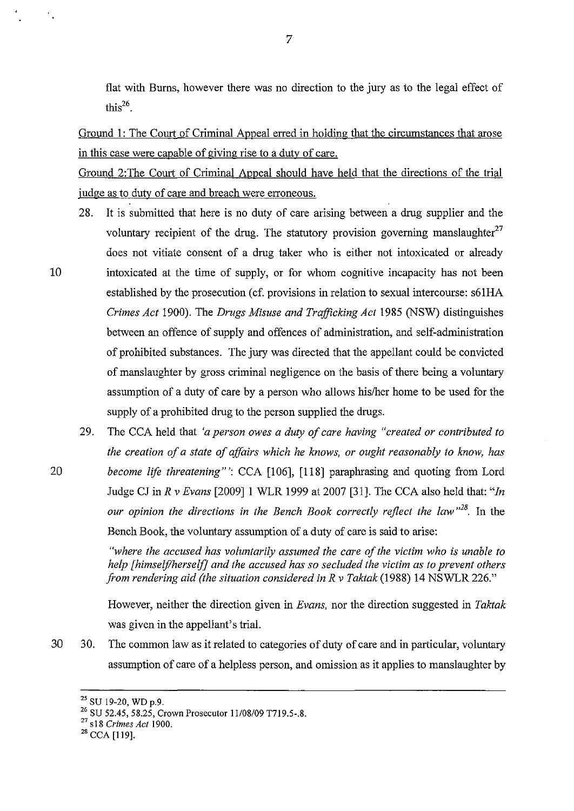flat with Burns, however there was no direction to the jury as to the legal effect of this $^{26}$ .

Ground 1: The Court of Criminal Appeal erred in holding that the circumstances that arose in this case were capable of giving rise to a duty of care.

Ground 2:The Court of Criminal Appeal should have held that the directions of the trial judge as to duty of care and breach were erroneous.

- 28. It is submitted that here is no duty of care arising between a drug supplier and the voluntary recipient of the drug. The statutory provision governing manslaughter<sup>27</sup> does not vitiate consent of a drug taker who is either not intoxicated or already 10 intoxicated at the time of supply, or for whom cognitive incapacity has not been established by the prosecution (cf. provisions in relation to sexual intercourse: s61HA *Crimes Act* 1900). The *Drugs Misuse and Trafficking Act* 1985 (NSW) distinguishes between an offence of supply and offences of administration, and self-administration of prohibited substances. The jury was directed that the appellant could be convicted of manslaughter by gross criminal negligence on the basis of there being a voluntary assumption of a duty of care by a person who allows his/her home to be used for the supply of a prohibited drug to the person supplied the drugs.
- 29. The CCA held that *'a person owes a duty of care having "created or contributed to the creation of a state of affairs which he knows, or ought reasonably to know, has*  20 *become life threatening"':* CCA [1 06], [118] paraphrasing and quoting from Lord Judge CJ in *R v Evans* [2009] I WLR 1999 at 2007 [31]. The CCA also held that: *"In our opinion the directions in the Bench Book correctly reflect the law*  $n^{28}$ . In the Bench Book, the voluntary assumption of a duty of care is said to arise:

*"where the accused has voluntarily assumed the care of the victim who is unable to help [himseljlherse1j] and the accused has so secluded the victim as to prevent others from rendering aid (the situation considered* in *R v Taktak* (1988) 14 NSWLR 226."

However, neither the direction given in *Evans,* nor the direction suggested in *Taktak*  was given in the appellant's trial.

30 30. The common law as it related to categories of duty of care and in particular, voluntary assumption of care of a helpless person, and omission as it applies to manslaughter by

<sup>25</sup> SU 19-20, WD p.9.

<sup>26</sup> SU 52.45, 58.25, Crown Prosecutor 11/08/09 T719.5-.8.

<sup>27</sup>  s 18 *Crimes Act* 1900.

<sup>28</sup> CCA [119].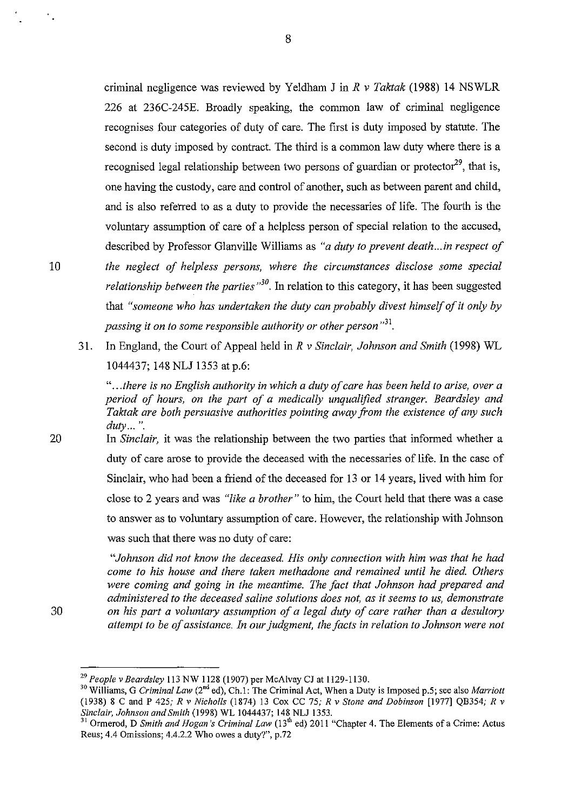criminal negligence was reviewed by Yeldham J in *R v Taktak* (1988) 14 NSWLR 226 at 236C-245E. Broadly speaking, the common law of criminal negligence recognises four categories of duty of care. The first is duty imposed by statute. The second is duty imposed by contract. The third is a common law duty where there is a recognised legal relationship between two persons of guardian or protector<sup>29</sup>, that is, one having the custody, care and control of another, such as between parent and child, and is also referred to as a duty to provide the necessaries of life. The fourth is the voluntary assumption of care of a helpless person of special relation to the accused, described by Professor Glanville Williams as *"a duty to prevent death ... in respect of* 

- 10 *the neglect of helpless persons, where the circumstances disclose some special*  relationship between the parties<sup>"30</sup>. In relation to this category, it has been suggested that "someone who has undertaken the duty can probably divest himself of it only by passing it on to some responsible authority or other person<sup>31</sup>.
	- 31. In England, the Court of Appeal held in *R v Sinclair, Johnson and Smith* (1998) WL 1044437; 148 NLJ 1353 at p.6:

*" ... there is no English authority in which a duty of care has been held to arise, over a period of hours, on the part of a medically unqualified stranger. Beardsley and Taktak are both persuasive authorities pointing away from the existence of any such duty ...* ".

20 In *Sinclair,* it was the relationship between the two parties that informed whether a duty of care arose to provide the deceased with the necessaries of life. In the case of Sinclair, who had been a friend of the deceased for 13 or 14 years, lived with him for close to 2 years and was *"like a brother"* to him, the Court held that there was a case to answer as to voluntary assumption of care. However, the relationship with Johnson was such that there was no duty of care:

*"Johnson did not know the deceased. His only connection with him was that he had come to his house and there taken methadone and remained until he died. Others were coming and going in the meantime. The fact that Johnson had prepared and administered to the deceased saline solutions does not, as it seems to us, demonstrate*  30 *on his part a voluntary assumption of a legal duty of care rather than a desultory attempt to be of assistance. In our judgment, the facts in relation to Johnson were not* 

<sup>29</sup>*People v Beardsley* 113 NW 1128 (1907) per McAlvay CJ at 1129-1130. 30 Williams, G *Criminal Law* (2"d ed), Ch.l: The Criminal Act, When a Duty is Imposed p.5; see also *Marriott*  (1938) 8 C and P 425; *R v Nicholls* (1874) 13 Cox CC 75; *R v Stone and Dobinson* [1977] QB354; *R v* 

*Ormerod, D Smith and Hogan's Criminal Law* (13<sup>th</sup> ed) 2011 "Chapter 4. The Elements of a Crime: Actus Reus; 4.4 Omissions; 4.4.2.2 Who owes a duty?", p.72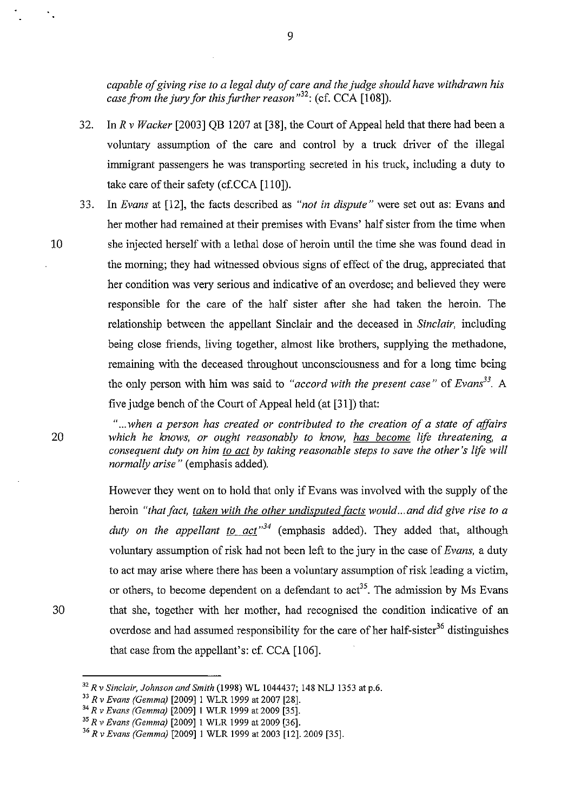*capable of giving rise to a legal duty of care and the judge should have withdrawn his case from the jury for this further reason*<sup>32</sup>: (cf. CCA [108]).

- 32. In *R v Wacker* [2003] QB 1207 at [38], the Court of Appeal held that there had been a voluntary assumption of the care and control by a truck driver of the illegal immigrant passengers he was transporting secreted in his truck, including a duty to take care of their safety (cf.CCA [110]).
- 33. In *Evans* at [12], the facts described as *"not in dispute"* were set out as: Evans and her mother had remained at their premises with Evans' half sister from the time when 10 she injected herself with a lethal dose of heroin until the time she was found dead in the morning; they had witnessed obvious signs of effect of the drug, appreciated that her condition was very serious and indicative of an overdose; and believed they were responsible for the care of the half sister after she had taken the heroin. The relationship between the appellant Sinclair and the deceased in *Sinclair,* including being close friends, living together, almost like brothers, supplying the methadone, remaining with the deceased throughout unconsciousness and for a long time being the only person with him was said to "accord with the present case" of *Evans*<sup>33</sup>. A five judge bench of the Court of Appeal held (at [31]) that:

*" ... when a person has created or contributed to the creation of a state of affairs*  20 *which he knows, or ought reasonably to know, has become life threatening, a consequent duty on him to act by taking reasonable steps to save the other's life will normally arise* " (emphasis added).

However they went on to hold that only if Evans was involved with the supply of the heroin *"that fact, taken with the other undisputed facts would... and did give rise to a duty on the appellant to act"<sup>34</sup>*(emphasis added). They added that, although voluntary assumption of risk had not been left to the jury in the case of *Evans,* a duty to act may arise where there has been a voluntary assumption of risk leading a victim, or others, to become dependent on a defendant to  $\text{act}^{35}$ . The admission by Ms Evans 30 that she, together with her mother, had recognised the condition indicative of an overdose and had assumed responsibility for the care of her half-sister<sup>36</sup> distinguishes that case from the appellant's: cf. CCA [106].

<sup>&</sup>lt;sup>32</sup> R v Sinclair, Johnson and Smith (1998) WL 1044437; 148 NLJ 1353 at p.6.<br><sup>33</sup> R v Evans (Gemma) [2009] 1 WLR 1999 at 2007 [28].<br><sup>34</sup> R v Evans (Gemma) [2009] 1 WLR 1999 at 2009 [35].<br><sup>35</sup> R v Evans (Gemma) [2009] 1 WL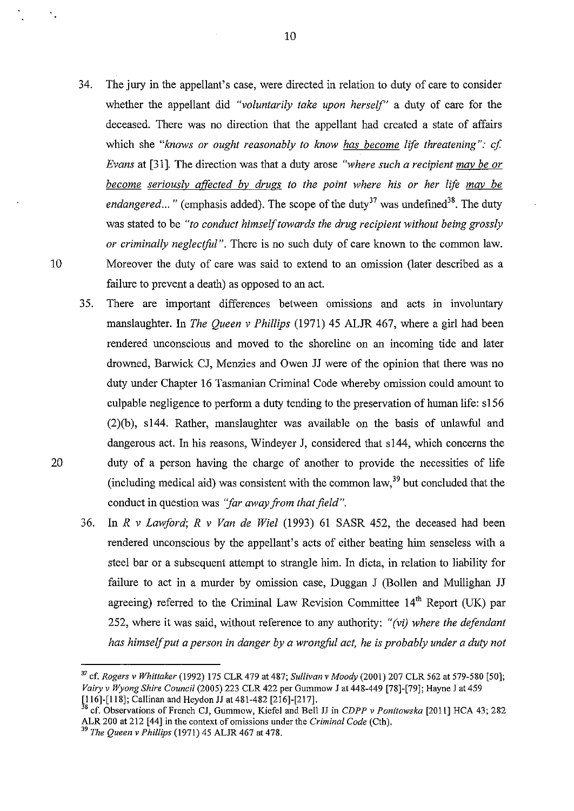- 34. The jury in the appellant's case, were directed in relation to duty of care to consider whether the appellant did *"voluntarily take upon herself"* a duty of care for the deceased. There was no direction that the appellant had created a state of affairs which she "knows or ought reasonably to know has become life threatening": cf. *Evans* at [31]. The direction was that a duty arose *"where such a recipient may be or become seriously affected by drugs to the point where his or her life mav be endangered...* " (emphasis added). The scope of the duty<sup>37</sup> was undefined<sup>38</sup>. The duty was stated to be *"to conduct himself towards the drug recipient without being grossly or criminally neglectful".* There is no such duty of care known to the common law. 10 Moreover the duty of care was said to extend to an omission (later described as a failure to prevent a death) as opposed to an act.
- 35. There are important differences between omissions and acts in involuntary manslaughter. In *The Queen v Phillips* (1971) 45 ALJR 467, where a girl had been rendered unconscious and moved to the shoreline on an incoming tide and later drowned, Barwick CJ, Menzies and Owen JJ were of the opinion that there was no duty under Chapter 16 Tasmanian Criminal Code whereby omission could amount to culpable negligence to perform a duty tending to the preservation of human life: s156 (2)(b), s144. Rather, manslaughter was available on the basis of unlawful and dangerous act. In his reasons, Windeyer J, considered that s144, which concerns the 20 duty of a person having the charge of another to provide the necessities of life (including medical aid) was consistent with the common law,  $39$  but concluded that the conduct in question was *''far away from that field".* 
	- 36. In *R v Lawford; R v Van de Wiel* (1993) 61 SASR 452, the deceased had been rendered unconscious by the appellant's acts of either beating him senseless with a steel bar or a subsequent attempt to strangle him. In dicta, in relation to liability for failure to act in a murder by omission case, Duggan J (Bollen and Mullighan JJ agreeing) referred to the Criminal Law Revision Committee  $14<sup>th</sup>$  Report (UK) par 252, where it was said, without reference to any authority: *"(vi) where the defendant*  has himself put a person in danger by a wrongful act, he is probably under a duty not

10

 $\mathbf{r}_\perp$ 

<sup>37</sup>cf. *Rogers* v *Whittaker* (1992) 175 CLR 479 at 487; *Sullivan* v *Moody* (2001) 207 CLR 562 at 579-580 [50]; *Vairyv WyongShire Council* (2005) 223 CLR 422 per Gummow J at 448-449 [78]-[79]; Hayne J at459 [116]-[118]; Callinan and Heydon JJ at 481-482 [216]-[217].

<sup>38</sup> cf. Observations of French CJ, Gummow, Kiefel and Bell JJ in *CDPP* v *Ponitowska* [2011] HCA 43; 282 ALR 200 at 212 [44] in the context of omissions under the *Criminal Code* (Cth). <sup>39</sup>*The Queen* v *Phillips* (1971) 45 ALJR 467 at 478.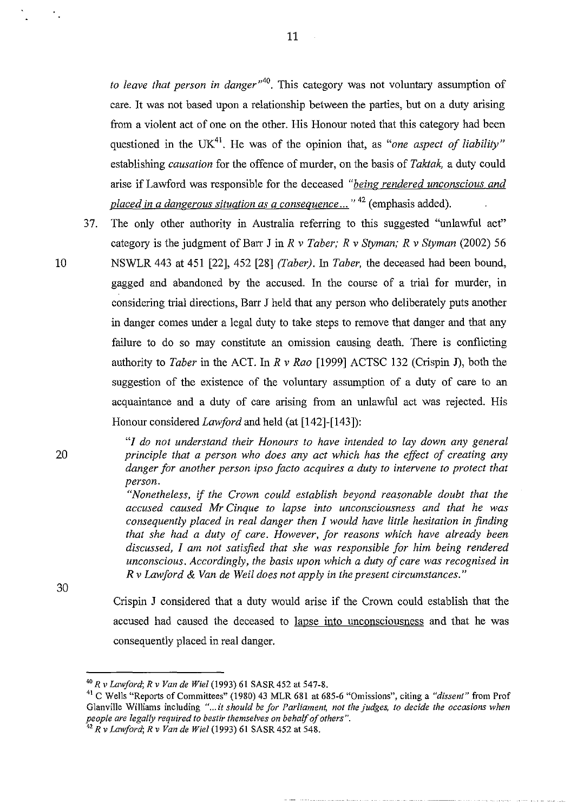*to leave that person in danger"40•* This category was not voluntary assumption of care. It was not based upon a relationship between the parties, but on a duty arising from a violent act of one on the other. His Honour noted that this category had been questioned in the UK<sup>41</sup>. He was of the opinion that, as *"one aspect of liability"* establishing *causation* for the offence of murder, on the basis of *Taktak,* a duty could arise if Lawford was responsible for the deceased *"being rendered unconscious and placed in a dangerous situation as a consequence ...* " 42 (emphasis added).

- 37. The only other authority in Australia referring to this suggested "unlawful act" category is the judgment of Barr J in *R v Taber; R v Styman; R v Styman* (2002) 56
- 10 NSWLR 443 at 451 [22], 452 [28] *(Faber).* In *Taber,* the deceased had been bound, gagged and abandoned by the accused. In the course of a trial for murder, in considering trial directions, Barr J held that any person who deliberately puts another in danger comes under a legal duty to take steps to remove that danger and that any failure to do so may constitute an omission causing death. There is conflicting authority to *Taber* in the ACT. In *R v Rao* [1999] ACTSC 132 (Crispin J), both the suggestion of the existence of the voluntary assumption of a duty of care to an acquaintance and a duty of care arising from an unlawful act was rejected. His Honour considered *Lawford* and held (at [142]-[143]):

*"I do not understand their Honours to have intended to lay down any general principle that a person who does any act which has the effect of creating any danger for another person ipso facto acquires a duty to intervene to protect that person.* 

*"Nonetheless,* if *the Crown could establish beyond reasonable doubt that the accused caused Mr Cinque to lapse into unconsciousness and that he was consequently placed in real danger then I would have little hesitation in finding that she had a duty of care. However, for reasons which have already been discussed, I am not satisfied that she was responsible for him being rendered unconscious. Accordingly, the basis upon which a duty of care was recognised in R v Lawford* & *Van de Weil does not apply in the present circumstances."* 

30

20

Crispin J considered that a duty would arise if the Crown could establish that the accused had caused the deceased to lapse into unconsciousness and that he was consequently placed in real danger.

 $\sim 10^7$ 

<sup>&</sup>lt;sup>40</sup> R v Lawford; R v Van de Wiel (1993) 61 SASR 452 at 547-8.

<sup>41</sup> C Wells "Reports of Committees" (1980) 43 MLR 681 at 685-6 "Omissions", citing a *"dissent"* from Prof Glanville Williams including *" ... it should be for Parliament, not the judges. to decide the occasions when people are legally required to bestir themselves on behalf of others".* <sup>42</sup>*R* v *Lawford; R v Van de Wiel* (1993) 61 SASR 452 at 548.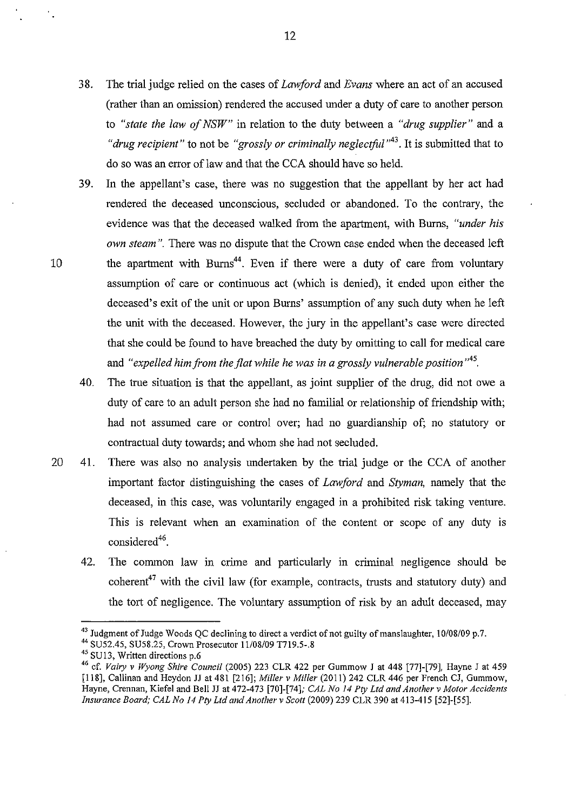- 38. The trial judge relied on the cases of *Lawford* and *Evans* where an act of an accused (rather than an omission) rendered the accused under a duty of care to another person to *"state the law of NSW"* in relation to the duty between a *"drug supplier''* and a *"drug recipient"* to not be *"grossly or criminally neglectful"<sup>43</sup> •* It is submitted that to do so was an error of law and that the CCA should have so held.
- 39. In the appellant's case, there was no suggestion that the appellant by her act had rendered the deceased unconscious, secluded or abandoned. To the contrary, the evidence was that the deceased walked from the apartment, with Burns, *"under his own steam".* There was no dispute that the Crown case ended when the deceased left 10 the apartment with Burns<sup>44</sup>. Even if there were a duty of care from voluntary assumption of care or continuous act (which is denied), it ended upon either the deceased's exit of the unit or upon Burns' assumption of any such duty when he left the unit with the deceased. However, the jury in the appellant's case were directed that she could be found to have breached the duty by omitting to call for medical care and "expelled him from the flat while he was in a grossly vulnerable position"<sup>45</sup>.
	- 40. The true situation is that the appellant, as joint supplier of the drug, did not owe a duty of care to an adult person she had no familial or relationship of friendship with; had not assumed care or control over; had no guardianship of; no statutory or contractual duty towards; and whom she had not secluded.
- 20 41. There was also no analysis undertaken by the trial judge or the CCA of another important factor distinguishing the cases of *Lawford* and *Styman,* namely that the deceased, in this case, was voluntarily engaged in a prohibited risk taking venture. This is relevant when an examination of the content or scope of any duty is considered<sup>46</sup>.
	- 42. The common law in crime and particularly in criminal negligence should be coherent<sup>47</sup> with the civil law (for example, contracts, trusts and statutory duty) and the tort of negligence. The voluntary assumption of risk by an adult deceased, may

<sup>&</sup>lt;sup>43</sup> Judgment of Judge Woods QC declining to direct a verdict of not guilty of manslaughter,  $10/08/09$  p.7.  $44$  SU52.45, SU58.25, Crown Prosecutor 11/08/09 T719.5-.8

<sup>&</sup>lt;sup>45</sup> SU13, Written directions p.6

<sup>46</sup> cf. *Vairy* v *Wyong Shire Council* (2005) 223 CLR 422 per Gummow J at 448 [77]-[79], Hayne J at 459 [118], Callinan and Heydon JJ at 481 [216]; *Miller* v *Miller* (2011) 242 CLR 446 per French CJ, Gummow, Hayne, Crennan, Kiefel and Bell JJ at 472-473 [70]-[74]; *CAL No 14 Pty Ltd and Another* v *Motor Accidents Insurance Board; CAL No 14 Pty Ltd and Another v Scott* (2009) 239 CLR 390 at 413-415 [52]-[55].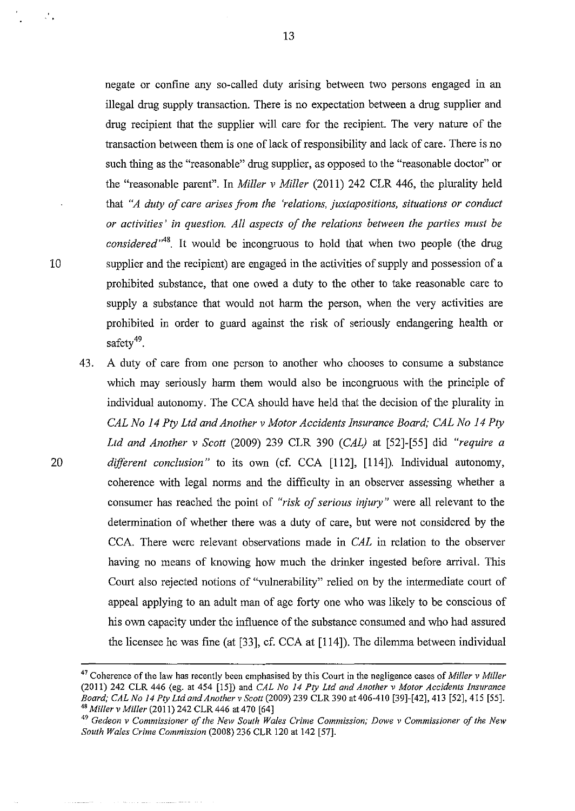negate or confine any so-called duty arising between two persons engaged in an illegal drug supply transaction. There is no expectation between a drug supplier and drug recipient that the supplier will care for the recipient. The very nature of the transaction between them is one of lack of responsibility and lack of care. There is no such thing as the "reasonable" drug supplier, as opposed to the "reasonable doctor" or the "reasonable parent". In *Miller v Miller* (2011) 242 CLR 446, the plurality held that *"A duty of care arises from the 'relations, juxtapositions, situations or conduct or activities' in question. All aspects of the relations between the parties must be considered"48.* It would be incongruous to hold that when two people (the drug 10 supplier and the recipient) are engaged in the activities of supply and possession of a prohibited substance, that one owed a duty to the other to take reasonable care to supply a substance that would not harm the person, when the very activities are prohibited in order to guard against the risk of seriously endangering health or safety<sup>49</sup>.

43. A duty of care from one person to another who chooses to consume a substance which may seriously harm them would also be incongruous with the principle of individual autonomy. The CCA should have held that the decision of the plurality in *CAL No 14 Pty Ltd and Another v Motor Accidents Insurance Board; CAL No 14 Pty Ltd and Another v Scott* (2009) 239 CLR 390 *(CAL)* at [52]-[55] did *"require a*  20 *different conclusion"* to its own (cf. CCA [112], [114]). Individual autonomy, coherence with legal norms and the difficulty in an observer assessing whether a consumer has reached the point of *"risk of serious injury"* were all relevant to the determination of whether there was a duty of care, but were not considered by the CCA. There were relevant observations made in *CAL* in relation to the observer having no means of knowing how much the drinker ingested before arrival. This Court also rejected notions of "vulnerability" relied on by the intermediate court of appeal applying to an adult man of age forty one who was likely to be conscious of his own capacity under the influence of the substance consumed and who had assured the licensee he was fme (at [33], cf. CCA at [114]). The dilemma between individual

 $\mathcal{L}_{\bullet}$ 

<sup>47</sup> Coherence of the law has recently been emphasised by this Court in the negligence cases of *Miller v Miller*  (20 II) 242 CLR 446 ( eg. at 454 [15]) and *CAL No 14 Pty Ltd and Another v Motor Accidents Insurance Board; CAL No 14 Pty Ltd and Another v Scott* (2009) 239 CLR 390 at 406-410 [39]-[42], 413 [52], 415 [55]. *48 Miller v Miller* (2011) 242 CLR 446 at 470 [64]

<sup>49</sup>*Gedeon v Commissioner of the New South Wales Crime Commission; Dowe v Commissioner of the New South Wales Crime Commission* (2008) 236 CLR 120 at 142 [57].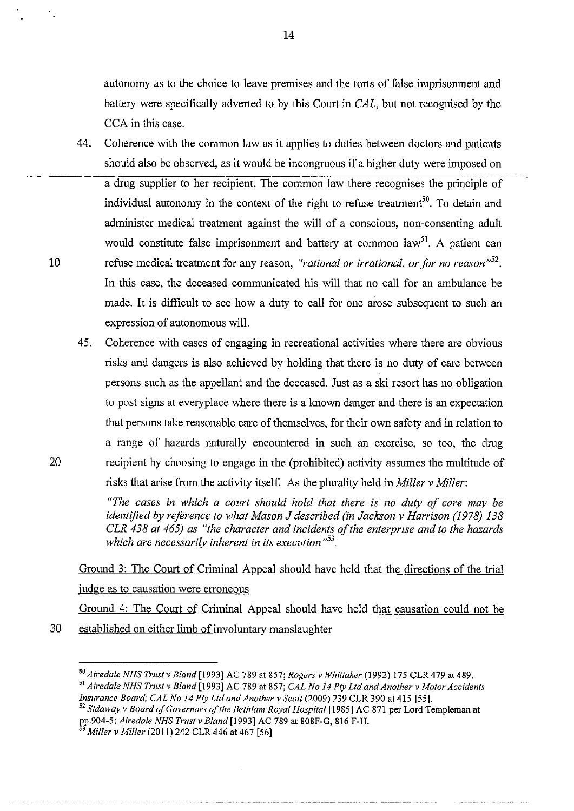autonomy as to the choice to leave premises and the torts of false imprisonment and battery were specifically adverted to by this Court in *CAL,* but not recognised by the CCA in this case.

- 44. Coherence with the common law as it applies to duties between doctors and patients should also be observed, as it would be incongruous if a higher duty were imposed on a drug supplier to her recipient. The common law there recognises the principle of individual autonomy in the context of the right to refuse treatment<sup>50</sup>. To detain and administer medical treatment against the will of a conscious, non-consenting adult would constitute false imprisonment and battery at common  $law<sup>51</sup>$ . A patient can 10 refuse medical treatment for any reason, *"rational or irrational, or for no reason"52•*  In this case, the deceased communicated his will that no call for an ambulance be made. It is difficult to see how a duty to call for one arose subsequent to such an expression of autonomous will.
- 45. Coherence with cases of engaging in recreational activities where there are obvious risks and dangers is also achieved by holding that there is no duty of care between persons such as the appellant and the deceased. Just as a ski resort has no obligation to post signs at everyplace where there is a known danger and there is an expectation that persons take reasonable care of themselves, for their own safety and in relation to a range of hazards naturally encountered in such an exercise, so too, the drug 20 recipient by choosing to engage in the (prohibited) activity assumes the multitude of risks that arise from the activity itself. As the plurality held in *Miller v Miller:*

*"The cases in which a court should hold that there is no duty of care may be identified by reference to what Mason J described (in Jackson v Harrison (1978) 138 CLR 438 at 465) as "the character and incidents of the enterprise and to the hazards which are necessarily inherent in its execution* " 53

Ground 3: The Court of Criminal Appeal should have held that the directions of the trial judge as to causation were erroneous

Ground 4: The Court of Criminal Appeal should have held that causation could not be

30 established on either limb of involuntarv manslaughter

 $^{50}$  Airedale NHS Trust v Bland [1993] AC 789 at 857; Rogers v Whittaker (1992) 175 CLR 479 at 489.<br> $^{51}$  Airedale NHS Trust v Bland [1993] AC 789 at 857; CAL No 14 Pty Ltd and Another v Motor Accidents<br>Insurance Board

<sup>&</sup>lt;sup>52</sup> Sidaway v Board of Governors of the Bethlam Royal Hospital [1985] AC 871 per Lord Templeman at pp.904-5; *Airedale NHS Trust v Bland* [1993] AC 789 at 808F-G, 816 F-H.

<sup>53</sup>*Miller v Miller* (20 II) 242 CLR 446 at 467 [56]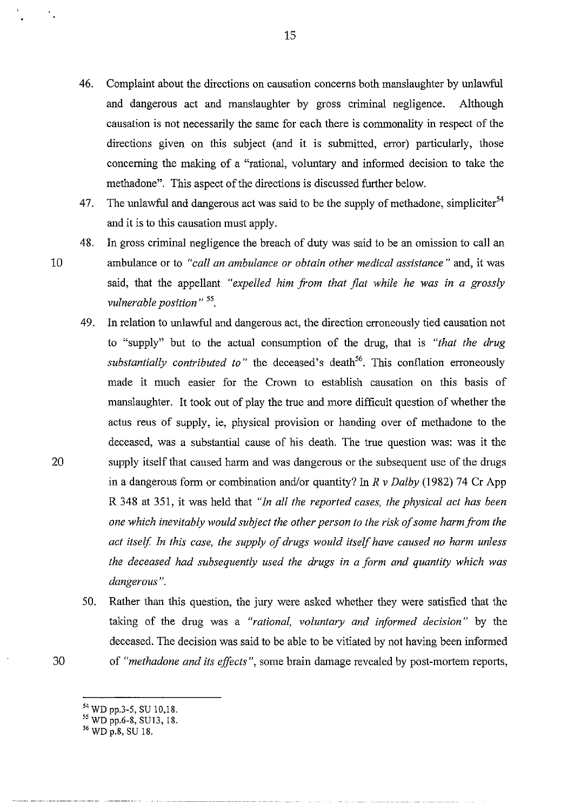- 46. Complaint about the directions on causation concerns both manslaughter by unlawful and dangerous act and manslaughter by gross criminal negligence. Although causation is not necessarily the same for each there is commonality in respect of the directions given on this subject (and it is submitted, error) particularly, those concerning the making of a "rational, voluntary and informed decision to take the methadone". This aspect of the directions is discussed further below.
- 47. The unlawful and dangerous act was said to be the supply of methadone, simpliciter<sup>54</sup> and it is to this causation must apply.
- 48. In gross criminal negligence the breach of duty was said to be an omission to call an 10 ambulance or to *"call an ambulance or obtain other medical assistance"* and, it was said, that the appellant *"expelled him from that flat while he was in a grossly vulnerable position"* 55.
- 49. In relation to unlawful and dangerous act, the direction erroneously tied causation not to "supply" but to the actual consumption of the drug, that is *"that the drug*  substantially contributed to" the deceased's death<sup>56</sup>. This conflation erroneously made it much easier for the Crown to establish causation on this basis of manslaughter. It took out of play the true and more difficult question of whether the actus reus of supply, ie, physical provision or handing over of methadone to the deceased, was a substantial cause of his death. The true question was: was it the 20 supply itself that caused harm and was dangerous or the subsequent use of the drugs in a dangerous form or combination and/or quantity? In *R v Dalby* (1982) 74 Cr App R 348 at 351, it was held that *"In all the reported cases, the physical act has been one which inevitably would subject the other person to the risk of some harm from the act itself In this case, the supply of drugs would itself have caused no harm unless the deceased had subsequently used the drugs in a form and quantity which was dangerous".*
- 50. Rather than this question, the jury were asked whether they were satisfied that the taking of the drug was a *"rational, voluntary and informed decision"* by the deceased. The decision was said to be able to be vitiated by not having been informed 30 of *"methadone and its effects",* some brain damage revealed by post-mortem reports,
	- 54 WD pp.3-5, SU 10,18.

*<sup>55</sup>*WD pp.6-8, SU13, 18.

<sup>56</sup>WD p.8, SU 18.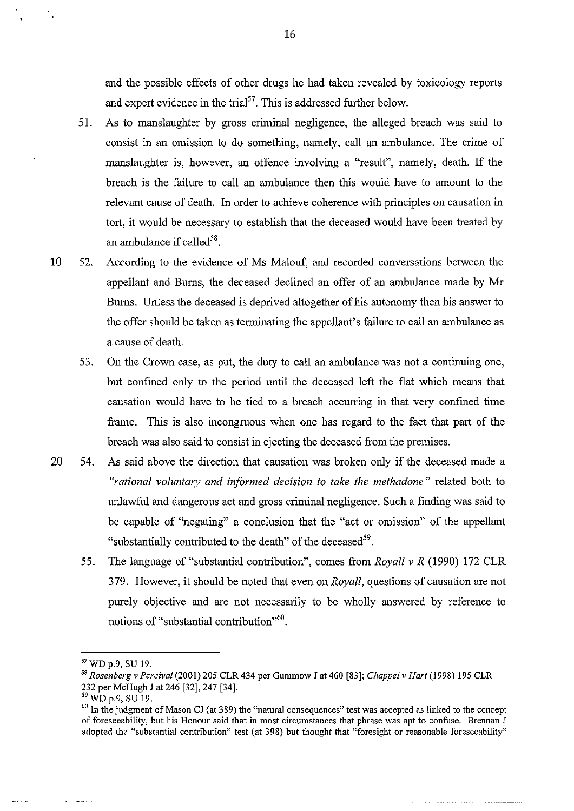and the possible effects of other drugs he had taken revealed by toxicology reports and expert evidence in the trial<sup>57</sup>. This is addressed further below.

- 51. As to manslaughter by gross criminal negligence, the alleged breach was said to consist in an omission to do something, namely, call an ambulance. The crime of manslaughter is, however, an offence involving a "result", namely, death. If the breach is the failure to call an ambulance then this would have to amount to the relevant cause of death. In order to achieve coherence with principles on causation in tort, it would be necessary to establish that the deceased would have been treated by an ambulance if called  $58$ .
- 10 52. According to the evidence of Ms Malouf, and recorded conversations between the appellant and Burns, the deceased declined an offer of an ambulance made by Mr Burns. Unless the deceased is deprived altogether of his autonomy then his answer to the offer should be taken as terminating the appellant's failure to call an ambulance as a cause of death.
	- 53. On the Crown case, as put, the duty to call an ambulance was not a continuing one, but confined only to the period until the deceased left the flat which means that causation would have to be tied to a breach occurring in that very confined time frame. This is also incongruous when one has regard to the fact that part of the breach was also said to consist in ejecting the deceased from the premises.
- 20 54. As said above the direction that causation was broken only if the deceased made a *"rational voluntary and iriformed decision to take the methadone"* related both to unlawful and dangerous act and gross criminal negligence. Such a finding was said to be capable of "negating" a conclusion that the "act or omission" of the appellant "substantially contributed to the death" of the deceased<sup>59</sup>.
	- 55. The language of "substantial contribution", comes from *Royall v R* (1990) 172 CLR 379. However, it should be noted that even on *Royall,* questions of causation are not purely objective and are not necessarily to be wholly answered by reference to notions of "substantial contribution"<sup>60</sup>.

<sup>57</sup> WD p.9, SU 19. 58 *Rosenberg v Percival* (2001) 205 CLR 434 per Gummow J at 460 [83]; *Chappel v Hart* (1998) 195 CLR 232 per McHugh J at 246 [32], 247 [34].<br><sup>59</sup> WD p.9, SU 19.

<sup>&</sup>lt;sup>60</sup> In the judgment of Mason CJ (at 389) the "natural consequences" test was accepted as linked to the concept **of foreseeability, but his Honour said that in most circumstances that phrase was apt to confuse. Brennan J**  adopted the "substantial contribution" test (at 398) but thought that "foresight or reasonable foreseeability"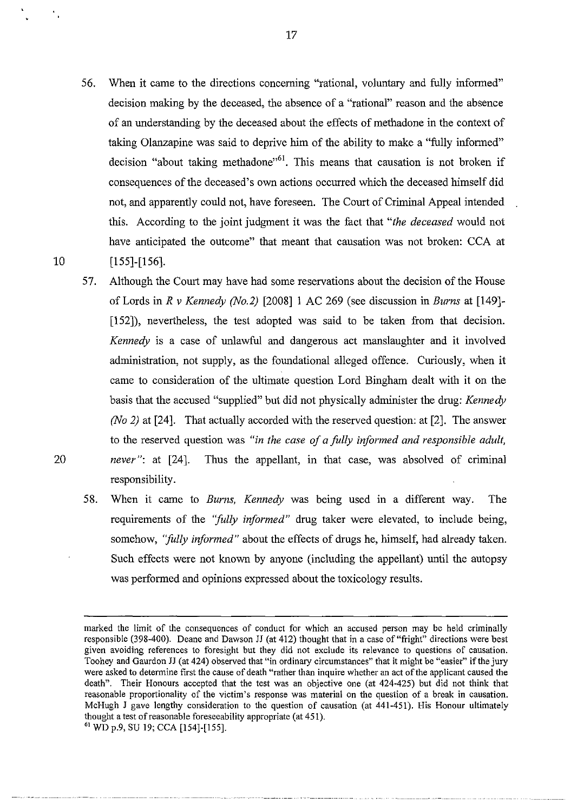- 56. When it came to the directions concerning "rational, voluntary and fully informed" decision making by the deceased, the absence of a "rational" reason and the absence of an understanding by the deceased about the effects of methadone in the context of taking Olanzapine was said to deprive him of the ability to make a "fully informed" decision "about taking methadone"<sup>61</sup>. This means that causation is not broken if consequences of the deceased's own actions occurred which the deceased himself did not, and apparently could not, have foreseen. The Court of Criminal Appeal intended this. According to the joint judgment it was the fact that *"the deceased* would not have anticipated the outcome" that meant that causation was not broken: CCA at 10 [155]-[156].
- 57. Although the Court may have had some reservations about the decision of the House of Lords in *R v Kennedy (No.2)* [2008] 1 AC 269 (see discussion in *Burns* at [149]- [152]), nevertheless, the test adopted was said to be taken from that decision. *Kennedy* is a case of unlawful and dangerous act manslaughter and it involved administration, not supply, as the foundational alleged offence. Curiously, when it came to consideration of the ultimate question Lord Bingham dealt with it on the basis that the accused "supplied" but did not physically administer the drug: *Kennedy (No 2)* at [24]. That actually accorded with the reserved question: at [2]. The answer to the reserved question was *"in the case of a fully informed and responsible adult,*  20 *never":* at [24]. Thus the appellant, in that case, was absolved of criminal responsibility.
	- 58. When it came to *Burns, Kennedy* was being used in a different way. The requirements of the *''fully informed"* drug taker were elevated, to include being, somehow, *''fully informed"* about the effects of drugs he, himself, had already taken. Such effects were not known by anyone (including the appellant) until the autopsy was performed and opinions expressed about the toxicology results.

marked the limit of the consequences of conduct for which an accused person may be held criminally responsible (398-400). Deane and Dawson JJ (at 412) thought that in a case of"fright" directions were best given avoiding references to foresight but they did not exclude its relevance to questions of causation. Toohey and Gaurdon JJ (at 424) observed that "in ordinary circumstances" that it might be "easier" if the jury were asked to determine first the cause of death "rather than inquire whether an act of the applicant caused the death". Their Honours accepted that the test was an objective one (at 424-425) but did not think that **reasonable proportionality of the victim's response was material on the question of a break in causation.**  McHugh J gave lengthy consideration to the question of causation (at 441-451). His Honour ultimately thought a test of reasonable foreseeability appropriate (at 451).

<sup>61</sup> WD p.9, SU 19; CCA [154]-[155].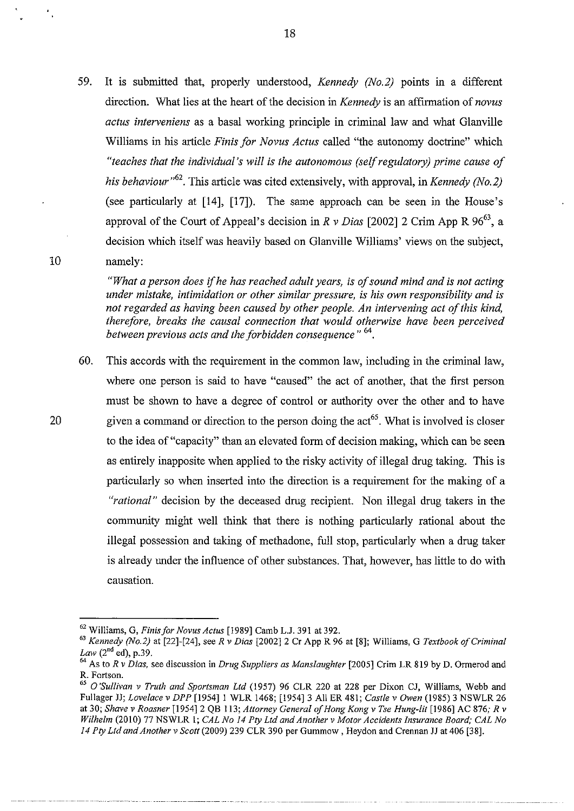59. It is submitted that, properly understood, *Kennedy (No.2)* points in a different direction. What lies at the heart of the decision in *Kennedy* is an affirmation of *novus actus interveniens* as a basal working principle in criminal law and what Glanville Williams in his article *Finis for Novus Actus* called "the autonomy doctrine" which *"teaches that the individual's will* is *the autonomous (self regulatory) prime cause of his behaviour"<sup>62</sup> .* This article was cited extensively, with approval, in *Kennedy (No.2)*  (see particularly at [14], [17]). The same approach can be seen in the House's approval of the Court of Appeal's decision in  $R \nu$  Dias [2002] 2 Crim App R 96<sup>63</sup>, a decision which itself was heavily based on Glanville Williams' views on the subject, 10 namely:

> *"What a person does* if *he has reached adult years, is of sound mind and* is *not acting under mistake, intimidation or other similar pressure, is his own responsibility and* is *not regarded as having been caused by other people. An intervening act of this kind, therefore, breaks the causal connection that would otherwise have been perceived between previous acts and the forbidden consequence"* 64•

60. This accords with the requirement in the common law, including in the criminal law, where one person is said to have "caused" the act of another, that the first person must be shown to have a degree of control or authority over the other and to have 20 given a command or direction to the person doing the act<sup>65</sup>. What is involved is closer to the idea of "capacity" than an elevated form of decision making, which can be seen as entirely inapposite when applied to the risky activity of illegal drug taking. This is particularly so when inserted into the direction is a requirement for the making of a *"rational"* decision by the deceased drug recipient. Non illegal drug takers in the community might well think that there is nothing particularly rational about the illegal possession and taking of methadone, full stop, particularly when a drug taker is already under the influence of other substances. That, however, has little to do with causation.

<sup>62</sup> Williams, G, *Finis for Novus Actus* [1989] Camb L.J. 391 at 392. 63 *Kennedy (No.2)* at [22]-[24], *seeR v Dias* [2002]2 Cr App R 96 at [8]; Williams, G *Textbook of Criminal* 

<sup>&</sup>lt;sup>64</sup> As to *R v Dias*, see discussion in *Drug Suppliers as Manslaughter* [2005] Crim LR 819 by D. Ormerod and R. Fortson.

<sup>65</sup>*O'Sullivan v Truth and Sportsman Ltd* (1957) 96 CLR 220 at 228 per Dixon CJ, Williams, Webb and Fullager JJ; *Lovelace v DPP* [1954]1 WLR 1468; [1954]3 AllER 481; *Castle v Owen* (1985) 3 NSWLR 26 at 30; *Shave v Roasner* [1954]2 QB 113; *Attorney General of Hong Kong v Tse Hung-lit* [1986] AC 876; *R v Wilhelm* (2010) 77 NSWLR I; *CAL No 14 Pty Ltd and Another v Motor Accidents Insurance Board; CAL No 14 Pty Ltd and Another v Scott* (2009) 239 CLR 390 per Gummow, Heydon and Crennan JJ at 406 [38].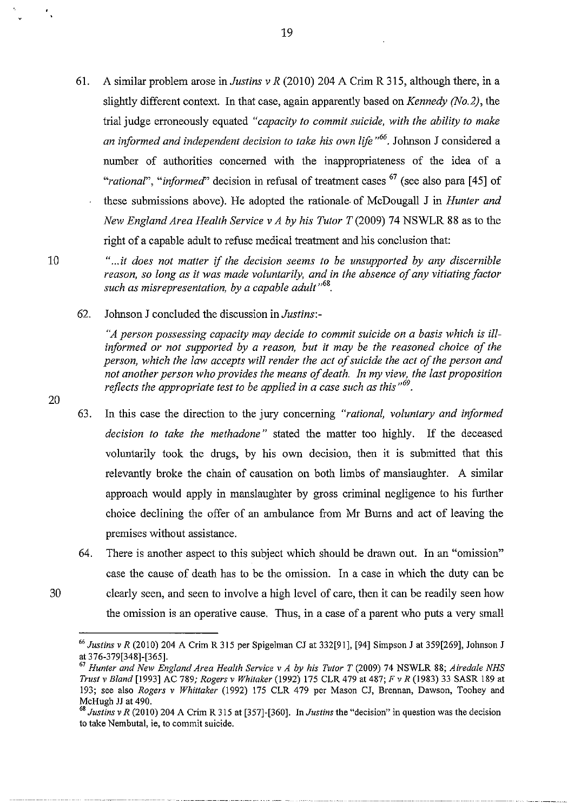61. A similar problem arose in *Justins v R* (2010) 204 A Crim R 315, although there, in a slightly different context. In that case, again apparently based on *Kennedy (No.2),* the trial judge erroneously equated *"capacity to commit suicide, with the ability to make an informed and independent decision to take his own lifo "66•* Johnson J considered a number of authorities concerned with the inappropriateness of the idea of a *"rational", "informed"* decision in refusal of treatment cases <sup>67</sup> (see also para [45] of these submissions above). He adopted the rationale. of McDougall J in *Hunter and New England Area Health Service v A by his Tutor T* (2009) 74 NSWLR 88 as to the right of a capable adult to refuse medical treatment and his conclusion that:

20

10 *" ... it does not matter* if *the decision seems to be unsupported by any discernible reason, so long as it was made voluntarily, and in the absence of any vitiating factor*  such as misrepresentation, by a capable adult<sup>, 68</sup>.

62. Johnson J concluded the discussion in *Justins:-*

*"A person possessing capacity may decide to commit suicide on a basis which is ill*informed or not supported by a reason, but it may be the reasoned choice of the *person, which the law accepts will render the act of suicide the act of the person and not another person who provides the means of death. In my view, the last proposition reflects the appropriate test to be applied in a case such as this "69•* 

- 63. In this case the direction to the jury concerning *"rational, voluntary and informed decision to take the methadone"* stated the matter too highly. If the deceased voluntarily took the drugs, by his own decision, then it is submitted that this relevantly broke the chain of causation on both limbs of manslaughter. A similar approach would apply in manslaughter by gross criminal negligence to his further choice declining the offer of an ambulance from Mr Burns and act of leaving the premises without assistance.
- 64. There is another aspect to this subject which should be drawn out. In an "omission" case the cause of death has to be the omission. In a case in which the duty can be 30 clearly seen, and seen to involve a high level of care, then it can be readily seen how the omission is an operative cause. Thus, in a case of a parent who puts a very small

<sup>66</sup>*Justins v R* (2010) 204 A Crim R 315 per Spigelman CJ at 332[91], [94] Simpson J at 359[269], Johnson J at 376-379[348]-[365]. 67 *Hunter and New England Area Health Service v A* by *his Tutor T* (2009) 74 NSWLR 88; *Airedale NHS* 

*Trust v Bland* [1993] AC 789; *Rogers v Whitaker* (1992) 175 CLR 4 79 at 487; *F v R* (1983) 33 SASR 189 at 193; see also *Rogers v Whittaker* (1992) 175 CLR 479 per Mason CJ, Brennan, Dawson, Toohey and McHugh JJ at 490.<br><sup>68</sup> *Justins v R* (2010) 204 A Crim R 315 at [357]-[360]. In *Justins* the "decision" in question was the decision

**to take Nembutal,** ie, **to commit suicide.**